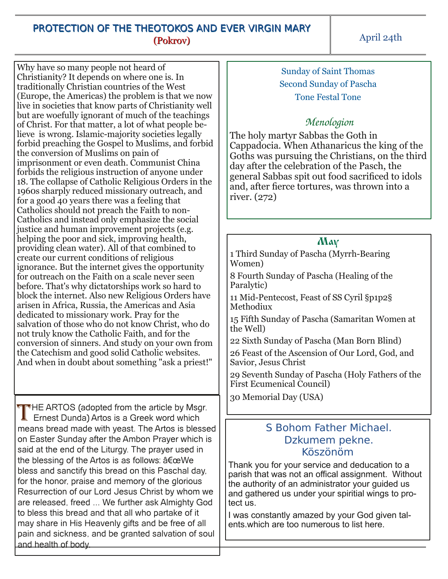## PROTECTION OF THE THEOTOKOS AND EVER VIRGIN MARY (Pokrov)

Why have so many people not heard of Christianity? It depends on where one is. In traditionally Christian countries of the West (Europe, the Americas) the problem is that we now live in societies that know parts of Christianity well but are woefully ignorant of much of the teachings of Christ. For that matter, a lot of what people believe is wrong. Islamic-majority societies legally forbid preaching the Gospel to Muslims, and forbid the conversion of Muslims on pain of imprisonment or even death. Communist China forbids the religious instruction of anyone under 18. The collapse of Catholic Religious Orders in the 1960s sharply reduced missionary outreach, and for a good 40 years there was a feeling that Catholics should not preach the Faith to non-Catholics and instead only emphasize the social justice and human improvement projects (e.g. helping the poor and sick, improving health, providing clean water). All of that combined to create our current conditions of religious ignorance. But the internet gives the opportunity for outreach on the Faith on a scale never seen before. That's why dictatorships work so hard to block the internet. Also new Religious Orders have arisen in Africa, Russia, the Americas and Asia dedicated to missionary work. Pray for the salvation of those who do not know Christ, who do not truly know the Catholic Faith, and for the conversion of sinners. And study on your own from the Catechism and good solid Catholic websites. And when in doubt about something "ask a priest!"

THE ARTOS (adopted from the article by Msgr.<br>Ernest Dunda) Artos is a Greek word which **Ernest Dunda) Artos is a Greek word which** means bread made with yeast. The Artos is blessed on Easter Sunday after the Ambon Prayer which is said at the end of the Liturgy. The prayer used in the blessing of the Artos is as follows:  $a \in \alpha$ We bless and sanctify this bread on this Paschal day, for the honor, praise and memory of the glorious Resurrection of our Lord Jesus Christ by whom we are released, freed ... We further ask Almighty God to bless this bread and that all who partake of it may share in His Heavenly gifts and be free of all pain and sickness, and be granted salvation of soul and health of body.

Sunday of Saint Thomas Second Sunday of Pascha Tone Festal Tone

## *Menologion*

The holy martyr Sabbas the Goth in Cappadocia. When Athanaricus the king of the Goths was pursuing the Christians, on the third day after the celebration of the Pasch, the general Sabbas spit out food sacrificed to idols and, after fierce tortures, was thrown into a river. (272)

## May

1 Third Sunday of Pascha (Myrrh-Bearing) Women)

8 Fourth Sunday of Pascha (Healing of the Paralytic)

11 Mid-Pentecost, Feast of SS Cyril §p1p2§ Methodiux

15 Fifth Sunday of Pascha (Samaritan Women at the Well)

22 Sixth Sunday of Pascha (Man Born Blind)

26 Feast of the Ascension of Our Lord, God, and Savior, Jesus Christ

29 Seventh Sunday of Pascha (Holy Fathers of the First Ecumenical Council)

30 Memorial Day (USA)

## S Bohom Father Michael. Dzkumem pekne. Köszönöm

Thank you for your service and deducation to a parish that was not an offical assignment. Without the authority of an administrator your guided us and gathered us under your spiritial wings to protect us.

I was constantly amazed by your God given talents which are too numerous to list here.

April 24th